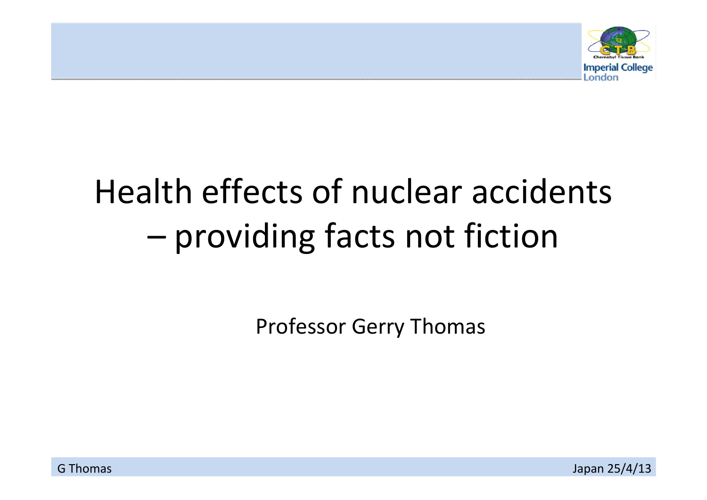

#### Health effects of nuclear accidents –providing facts not fiction

Professor Gerry Thomas

Japan 25/4/13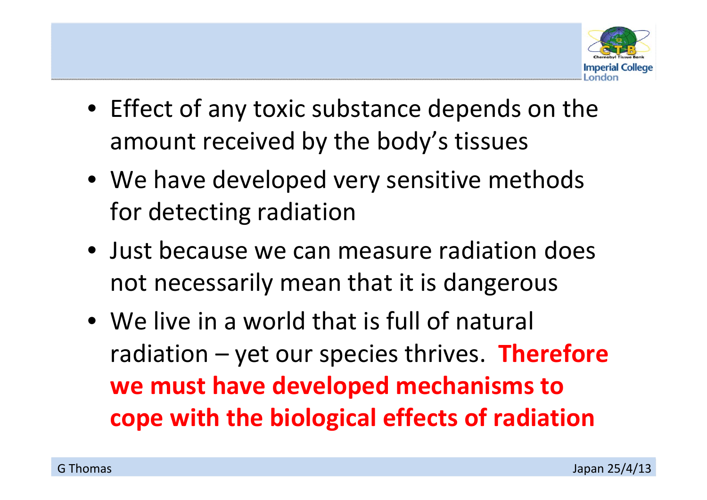

- Effect of any toxic substance depends on the amount received by the body's tissues
- We have developed very sensitive methods for detecting radiation
- Just because we can measure radiation does not necessarily mean that it is dangerous
- We live in <sup>a</sup> world that is full of natural radiation – yet our species thrives. **Therefore we must have developed mechanisms to cope with the biological effects of radiation**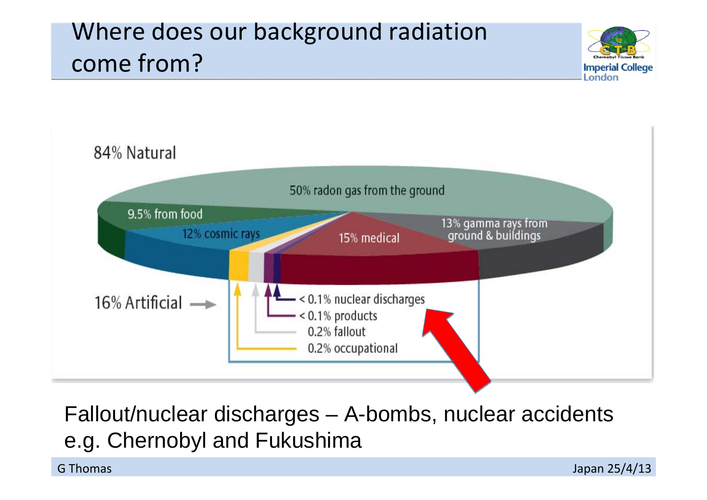# Where does our background radiation come from?





Fallout/nuclear discharges – A-bombs, nuclear accidents e.g. Chernobyl and Fukushima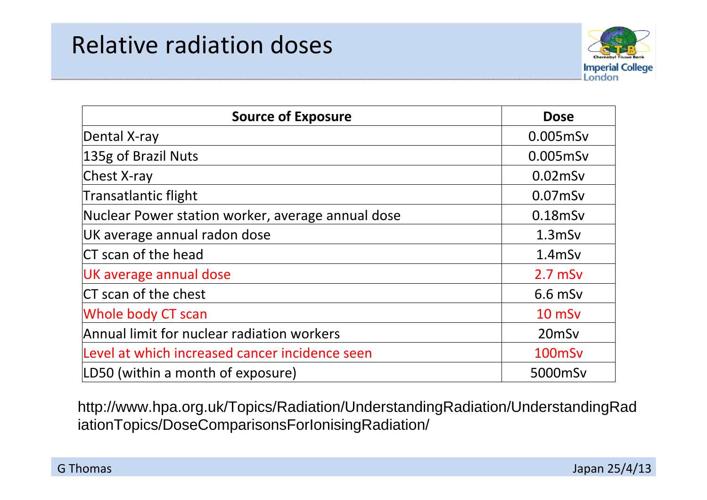#### Relative radiation doses



| <b>Source of Exposure</b>                         | <b>Dose</b>       |
|---------------------------------------------------|-------------------|
| Dental X-ray                                      | 0.005mSv          |
| 135g of Brazil Nuts                               | 0.005mSv          |
| Chest X-ray                                       | $0.02$ mSv        |
| Transatlantic flight                              | $0.07$ mSv        |
| Nuclear Power station worker, average annual dose | $0.18$ mSv        |
| UK average annual radon dose                      | $1.3$ m $Sv$      |
| CT scan of the head                               | $1.4$ m $Sv$      |
| UK average annual dose                            | $2.7$ mSv         |
| CT scan of the chest                              | $6.6$ mSv         |
| <b>Whole body CT scan</b>                         | $10$ mS $v$       |
| Annual limit for nuclear radiation workers        | 20 <sub>mSv</sub> |
| Level at which increased cancer incidence seen    | 100mSv            |
| LD50 (within a month of exposure)                 | 5000mSv           |

http://www.hpa.org.uk/Topics/Radiation/UnderstandingRadiation/UnderstandingRad iationTopics/DoseComparisonsForIonisingRadiation/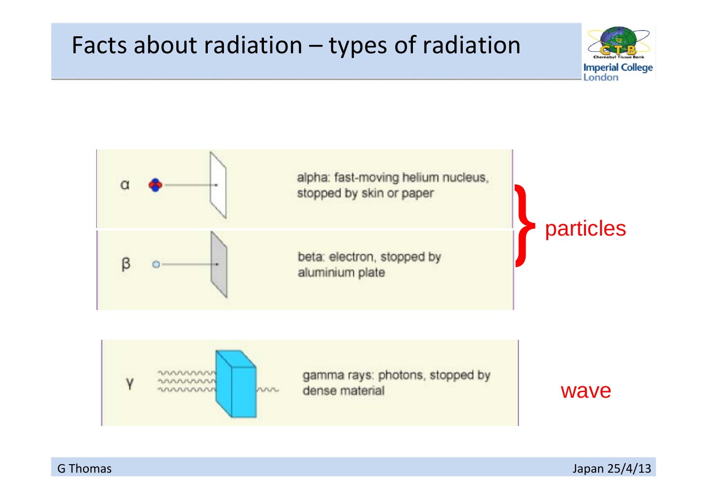#### Facts about radiation – types of radiation







**G** Thomas

Japan 25/4/13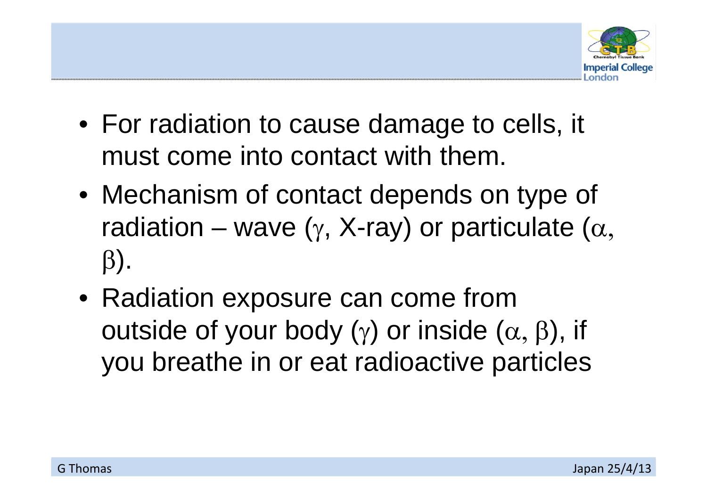

- For radiation to cause damage to cells, it must come into contact with them.
- Mechanism of contact depends on type of radiation – wave ( $\gamma$ , X-ray) or particulate ( $\alpha$ ,  $\beta$ ).
- Radiation exposure can come from outside of your body  $(y)$  or inside  $(\alpha, \beta)$ , if you breathe in or eat radioactive particles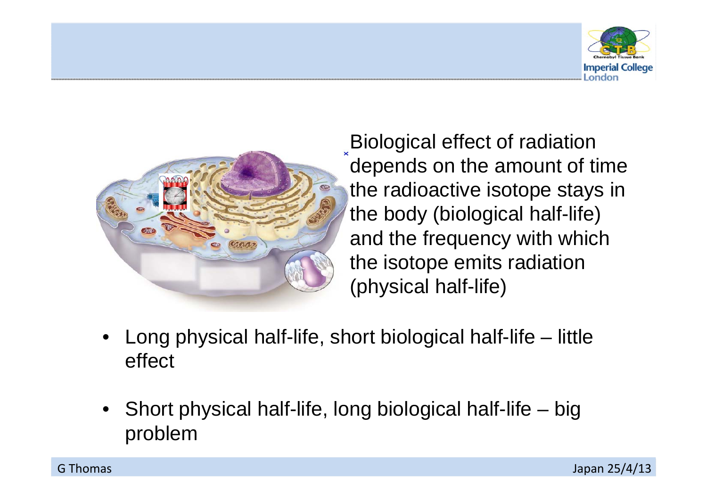



Biological effect of radiation depends on the amount of time the radioactive isotope stays in the body (biological half-life) and the frequency with which the isotope emits radiation (physical half-life)

- • Long physical half-life, short biological half-life – little effect
- Short physical half-life, long biological half-life big problem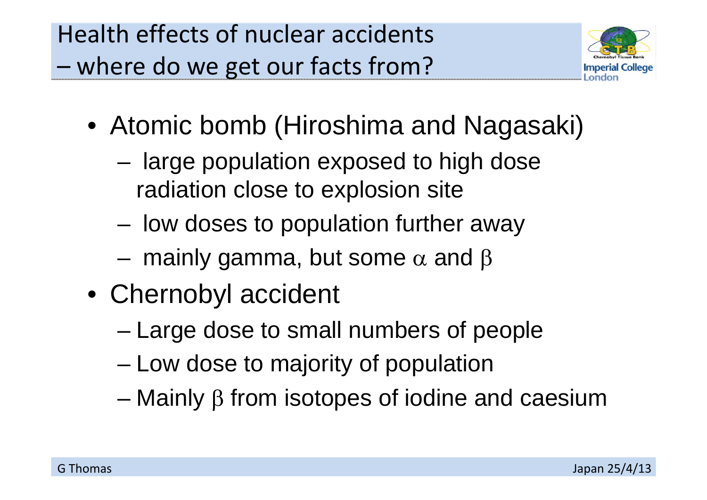

- Atomic bomb (Hiroshima and Nagasaki)
	- – large population exposed to high dose radiation close to explosion site
	- low doses to population further away
	- –mainly gamma, but some  $\alpha$  and  $\beta$
- Chernobyl accident
	- Large dose to small numbers of people
	- –Low dose to majority of population
	- Mainly  $\beta$  from isotopes of iodine and caesium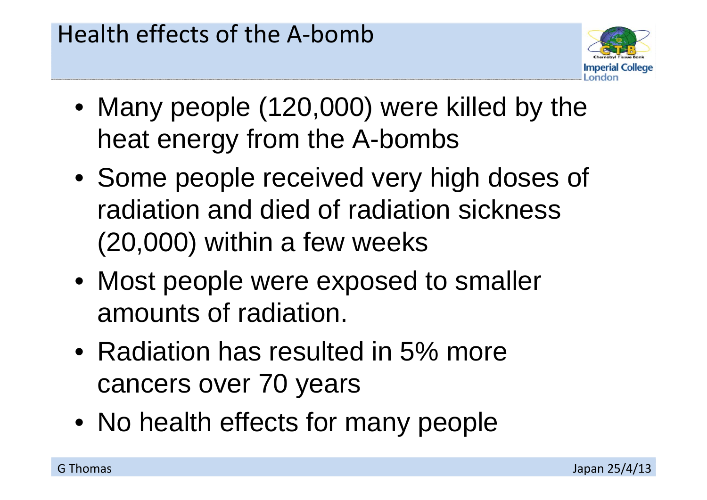

- Many people (120,000) were killed by the heat energy from the A-bombs
- Some people received very high doses of radiation and died of radiation sickness (20,000) within a few weeks
- Most people were exposed to smaller amounts of radiation.
- Radiation has resulted in 5% more cancers over 70 years
- No health effects for many people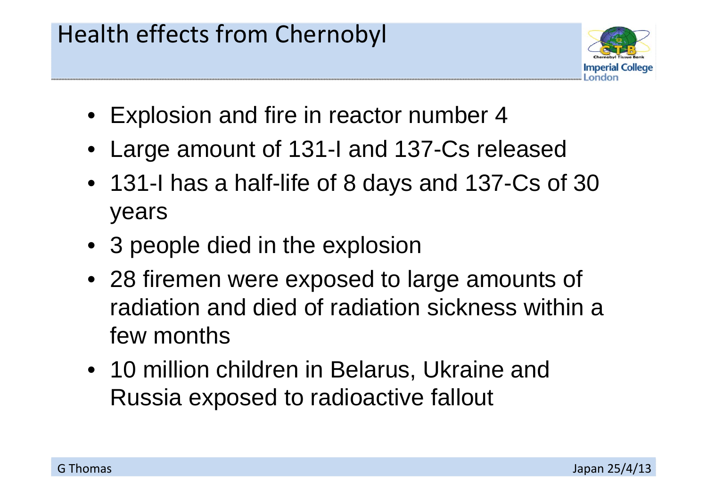## Health effects from Chernobyl



- Explosion and fire in reactor number 4
- Large amount of 131-I and 137-Cs released
- 131-I has a half-life of 8 days and 137-Cs of 30 years
- 3 people died in the explosion
- 28 firemen were exposed to large amounts of radiation and died of radiation sickness within a few months
- 10 million children in Belarus, Ukraine and Russia exposed to radioactive fallout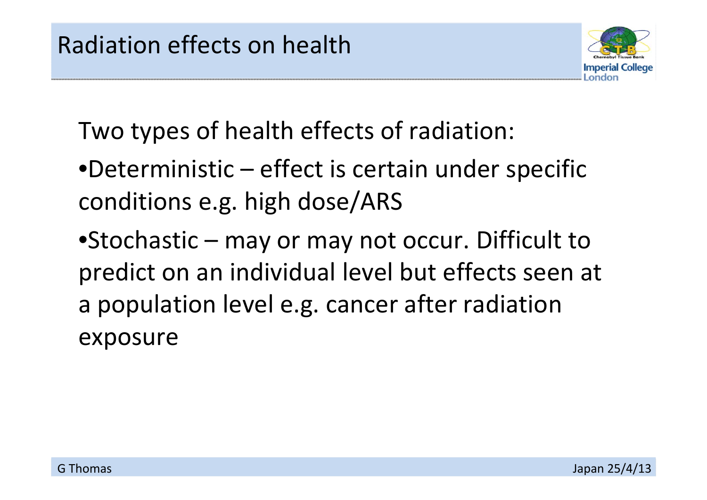

Two types of health effects of radiation:

•Deterministic – effect is certain under specific conditions e.g. high dose/ARS

•Stochastic – may or may not occur. Difficult to predict on an individual level but effects seen at a population level e.g. cancer after radiation exposure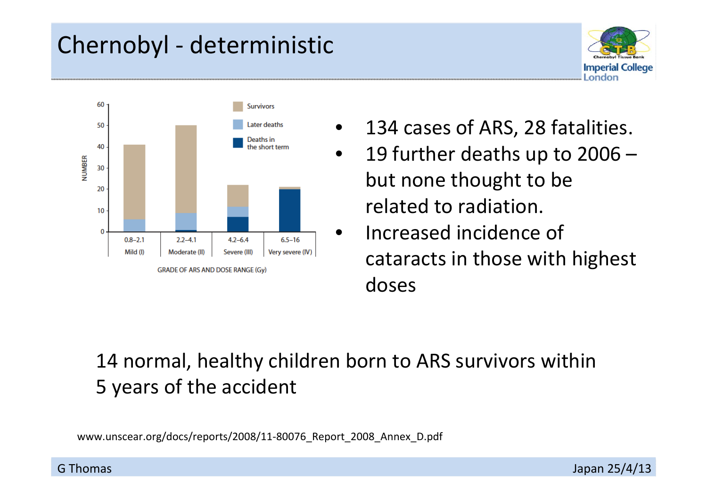## Chernobyl ‐ deterministic



- 134 cases of ARS, 28 fatalities.
- 19 further deaths up to 2006 but none thought to be related to radiation.
- **•** Increased incidence of cataracts in those with highest doses

#### 14 normal, healthy children born to ARS survivors within 5 years of the accident

www.unscear.org/docs/reports/2008/11-80076 Report 2008 Annex D.pdf

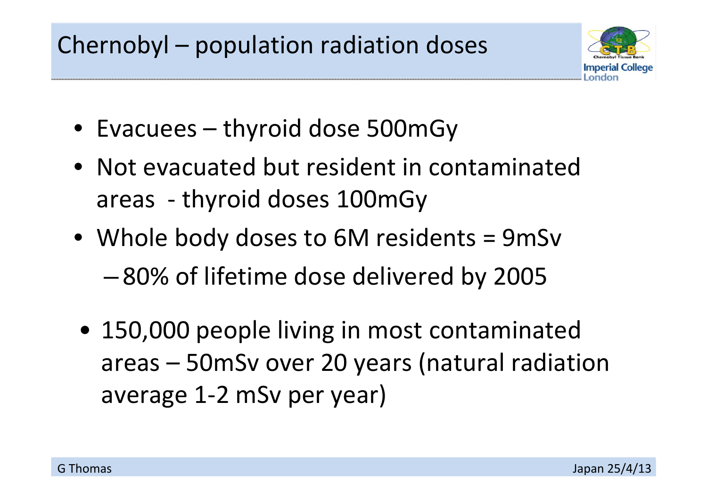# Chernobyl – population radiation doses



- Evacuees thyroid dose 500mGy
- Not evacuated but resident in contaminated areas ‐ thyroid doses 100mGy
- Whole body doses to 6M residents <sup>=</sup> 9mSv –80% of lifetime dose delivered by 2005
- 150,000 people living in most contaminated areas – 50mSv over 20 years (natural radiation average 1‐2 mSv per year)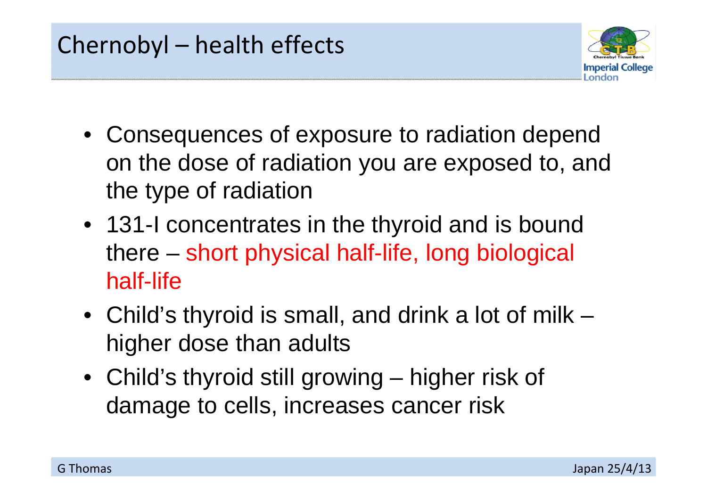## Chernobyl – health effects



- Consequences of exposure to radiation depend on the dose of radiation you are exposed to, and the type of radiation
- 131-I concentrates in the thyroid and is bound there – short physical half-life, long biological half-life
- Child's thyroid is small, and drink a lot of milk higher dose than adults
- Child's thyroid still growing higher risk of damage to cells, increases cancer risk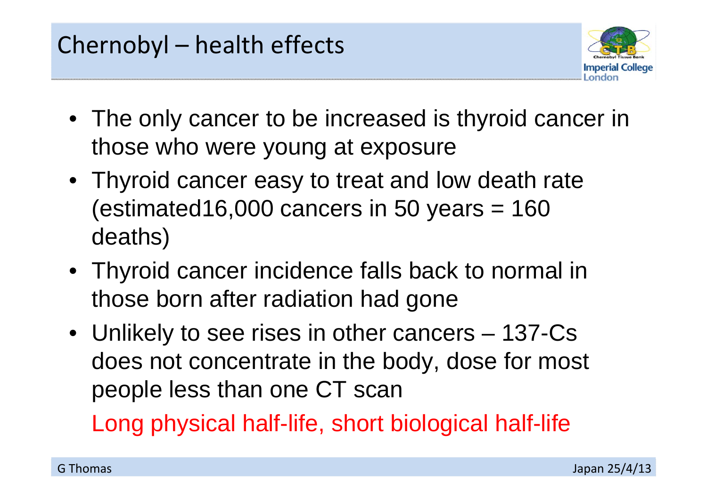

- The only cancer to be increased is thyroid cancer in those who were young at exposure
- Thyroid cancer easy to treat and low death rate  $(estimated16,000$  cancers in 50 years = 160 deaths)
- Thyroid cancer incidence falls back to normal in those born after radiation had gone
- Unlikely to see rises in other cancers 137-Cs does not concentrate in the body, dose for most people less than one CT scan

Long physical half-life, short biological half-life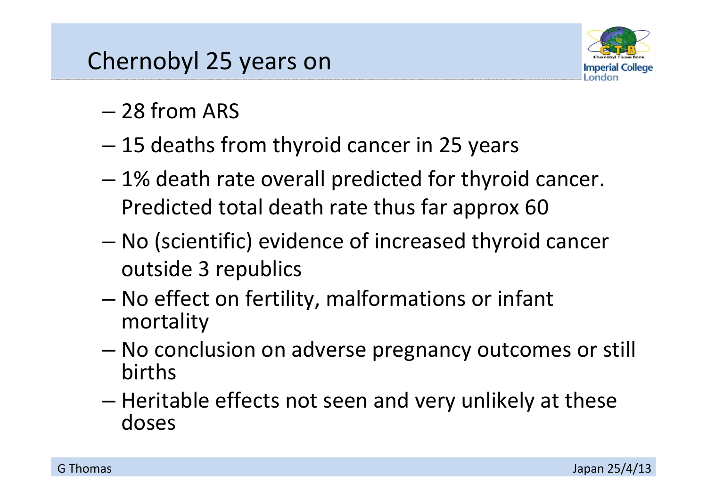## Chernobyl 25 years on



- 28 from ARS
- 15 deaths from thyroid cancer in 25 years
- 1% death rate overall predicted for thyroid cancer. Predicted total death rate thus far approx 60
- – No (scientific) evidence of increased thyroid cancer outside 3 republics
- – No effect on fertility, malformations or infant mortality
- – No conclusion on adverse pregnancy outcomes or still births
- – $-$  Heritable effects not seen and very unlikely at these doses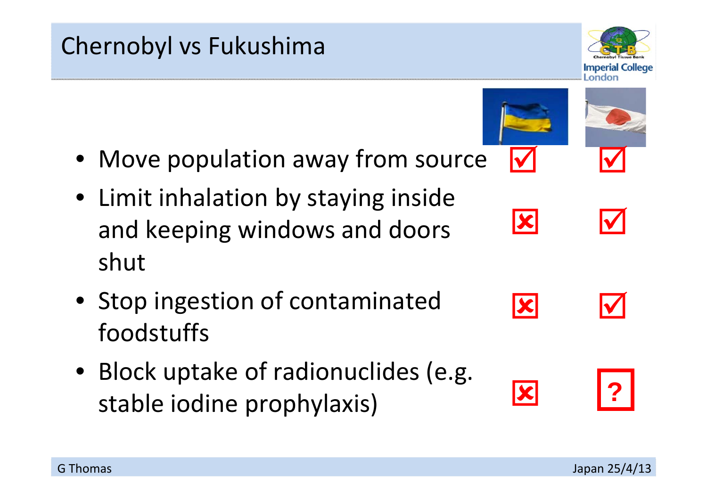#### Chernobyl vs Fukushima

- Move population away from source
- Limit inhalation by staying inside and keeping windows and doors shut
- Stop ingestion of contaminated foodstuffs
- Block uptake of radionuclides (e.g. stable iodine prophylaxis)



 $\overline{\blacktriangledown}$ 

 $\blacktriangledown$ 



**?**



 $\blacktriangledown$ 

 $|\boldsymbol{\mathsf{x}}|$ 

IХ

IХ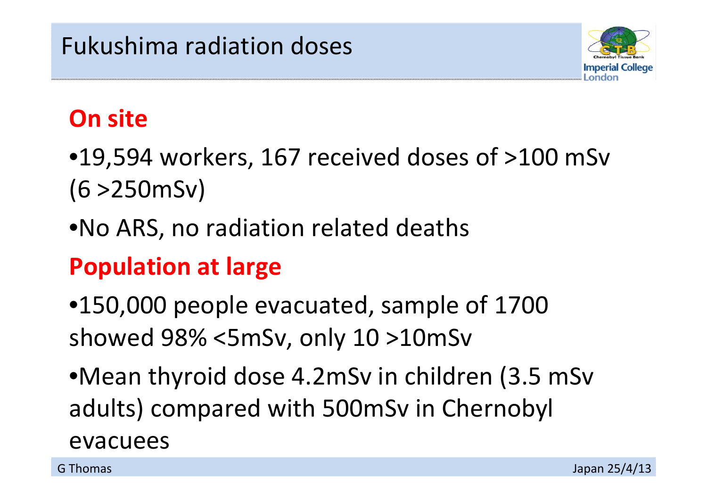

## **On site**

- •19,594 workers, 167 received doses of >100 mSv (6 >250mSv)
- •No ARS, no radiation related deaths

# **Population at large**

- •150,000 people evacuated, sample of 1700 showed 98% <5mSv, only 10 >10mSv
- •Mean thyroid dose 4.2mSv in children (3.5 mSv adults) compared with 500mSv in Chernobyl evacuees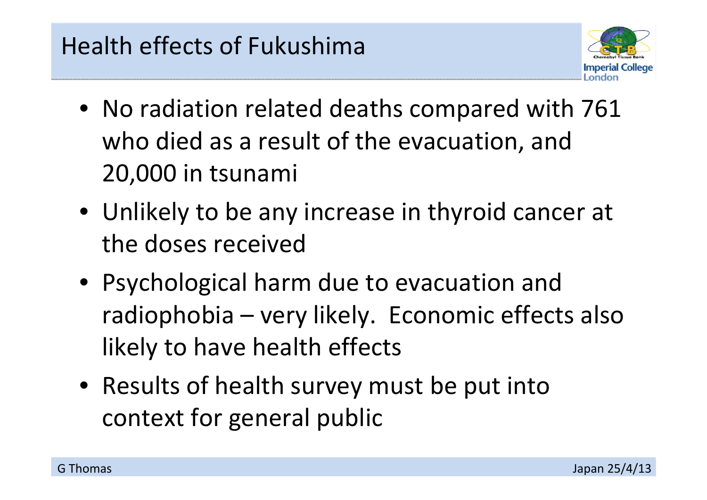

- No radiation related deaths compared with 761 who died as <sup>a</sup> result of the evacuation, and 20,000 in tsunami
- Unlikely to be any increase in thyroid cancer at the doses received
- Psychological harm due to evacuation and radiophobia – very likely. Economic effects also likely to have health effects
- Results of health survey must be put into context for general public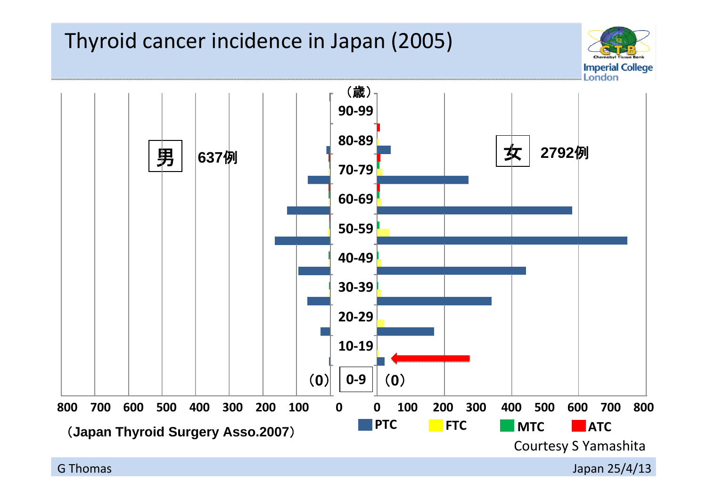#### Thyroid cancer incidence in Japan (2005)



Japan 25/4/13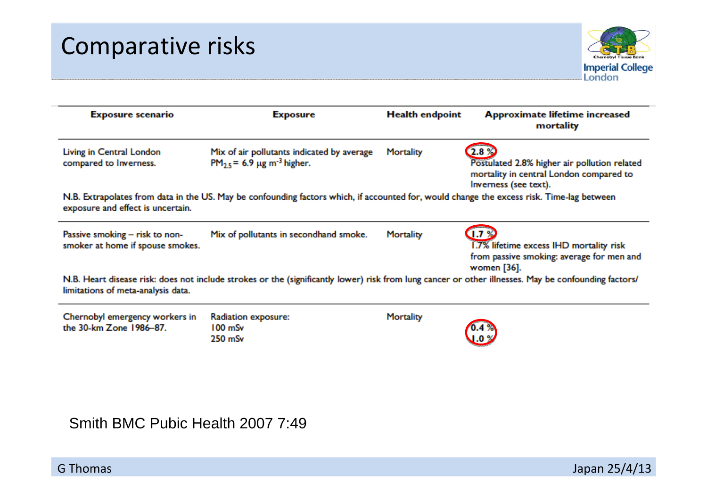#### Comparative risks



| <b>Exposure scenario</b>                                                                                                                                                                   | <b>Exposure</b>                                                                           | <b>Health endpoint</b> | Approximate lifetime increased<br>mortality                                                                              |  |
|--------------------------------------------------------------------------------------------------------------------------------------------------------------------------------------------|-------------------------------------------------------------------------------------------|------------------------|--------------------------------------------------------------------------------------------------------------------------|--|
| Living in Central London<br>compared to Inverness.                                                                                                                                         | Mix of air pollutants indicated by average<br>$PM_{2.5}$ = 6.9 µg m <sup>-3</sup> higher. | Mortality              | 2.89<br>Postulated 2.8% higher air pollution related<br>mortality in central London compared to<br>Inverness (see text). |  |
| N.B. Extrapolates from data in the US. May be confounding factors which, if accounted for, would change the excess risk. Time-lag between<br>exposure and effect is uncertain.             |                                                                                           |                        |                                                                                                                          |  |
| Passive smoking – risk to non-<br>smoker at home if spouse smokes.                                                                                                                         | Mix of pollutants in secondhand smoke.                                                    | Mortality              | 1.7%<br>1.7% lifetime excess IHD mortality risk<br>from passive smoking: average for men and<br>women [36].              |  |
| N.B. Heart disease risk: does not include strokes or the (significantly lower) risk from lung cancer or other illnesses. May be confounding factors/<br>limitations of meta-analysis data. |                                                                                           |                        |                                                                                                                          |  |
| Chernobyl emergency workers in<br>the 30-km Zone 1986-87.                                                                                                                                  | Radiation exposure:<br>$100 \text{ mSv}$<br>$250$ mSv                                     | Mortality              |                                                                                                                          |  |

Smith BMC Pubic Health 2007 7:49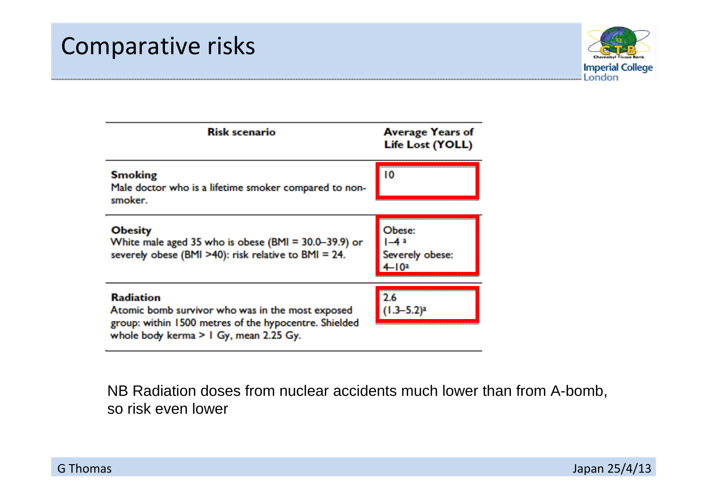

| <b>Risk scenario</b>                                                                                                                                                     | <b>Average Years of</b><br><b>Life Lost (YOLL)</b> |
|--------------------------------------------------------------------------------------------------------------------------------------------------------------------------|----------------------------------------------------|
| <b>Smoking</b><br>Male doctor who is a lifetime smoker compared to non-<br>smoker.                                                                                       | 10                                                 |
| <b>Obesity</b><br>White male aged 35 who is obese (BMI = 30.0-39.9) or<br>severely obese (BMI >40): risk relative to BMI = 24.                                           | Obese:<br>$1 - 4a$<br>Severely obese:<br>$4 - 10a$ |
| <b>Radiation</b><br>Atomic bomb survivor who was in the most exposed<br>group: within 1500 metres of the hypocentre. Shielded<br>whole body kerma $>1$ Gy, mean 2.25 Gy. | 2.6<br>$(1.3 - 5.2)^a$                             |

NB Radiation doses from nuclear accidents much lower than from A-bomb, so risk even lower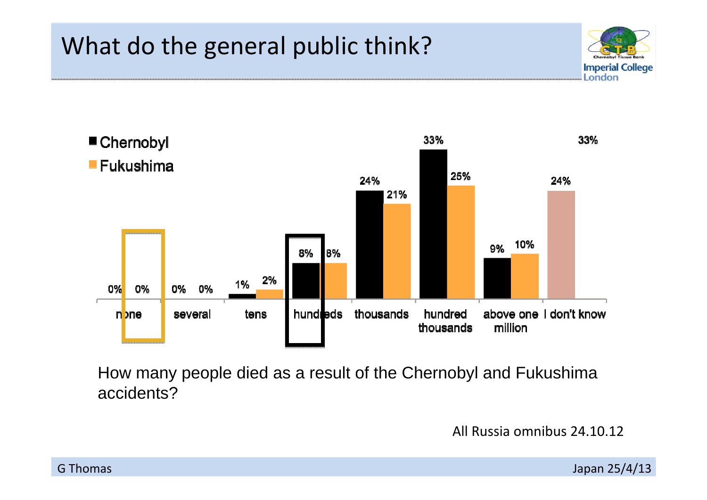## What do the general public think?





How many people died as a result of the Chernobyl and Fukushima accidents?

All Russia omnibus 24.10.12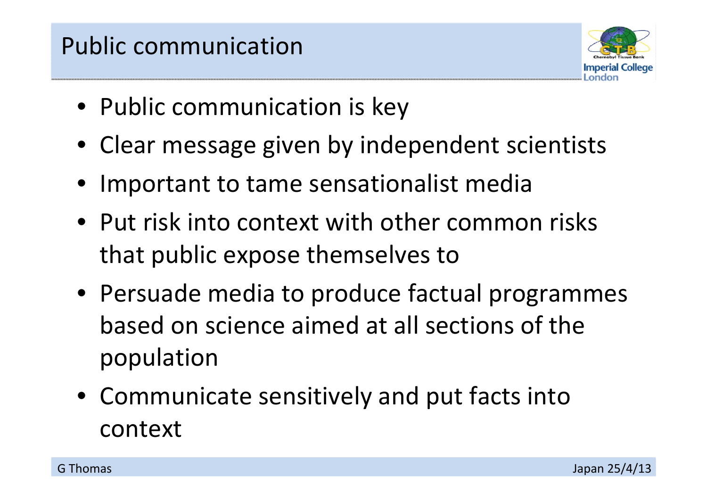## Public communication



- Public communication is key
- Clear message given by independent scientists
- Important to tame sensationalist media
- Put risk into context with other common risks that public expose themselves to
- Persuade media to produce factual programmes based on science aimed at all sections of the population
- Communicate sensitively and put facts into context